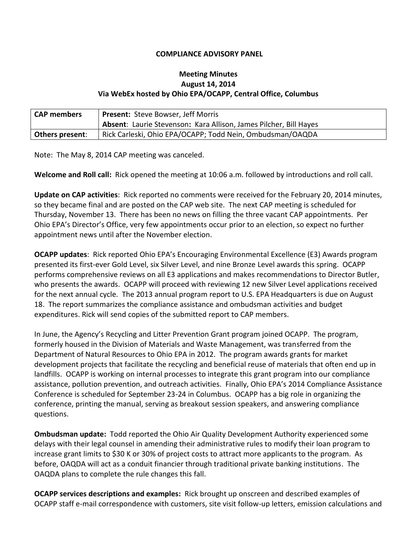## **COMPLIANCE ADVISORY PANEL**

## **Meeting Minutes August 14, 2014 Via WebEx hosted by Ohio EPA/OCAPP, Central Office, Columbus**

| <b>CAP members</b>     | <b>Present: Steve Bowser, Jeff Morris</b>                                |
|------------------------|--------------------------------------------------------------------------|
|                        | <b>Absent: Laurie Stevenson: Kara Allison, James Pilcher, Bill Hayes</b> |
| <b>Others present:</b> | Rick Carleski, Ohio EPA/OCAPP; Todd Nein, Ombudsman/OAQDA                |

Note: The May 8, 2014 CAP meeting was canceled.

**Welcome and Roll call:** Rick opened the meeting at 10:06 a.m. followed by introductions and roll call.

**Update on CAP activities**: Rick reported no comments were received for the February 20, 2014 minutes, so they became final and are posted on the CAP web site. The next CAP meeting is scheduled for Thursday, November 13. There has been no news on filling the three vacant CAP appointments. Per Ohio EPA's Director's Office, very few appointments occur prior to an election, so expect no further appointment news until after the November election.

**OCAPP updates**: Rick reported Ohio EPA's Encouraging Environmental Excellence (E3) Awards program presented its first-ever Gold Level, six Silver Level, and nine Bronze Level awards this spring. OCAPP performs comprehensive reviews on all E3 applications and makes recommendations to Director Butler, who presents the awards. OCAPP will proceed with reviewing 12 new Silver Level applications received for the next annual cycle. The 2013 annual program report to U.S. EPA Headquarters is due on August 18. The report summarizes the compliance assistance and ombudsman activities and budget expenditures. Rick will send copies of the submitted report to CAP members.

In June, the Agency's Recycling and Litter Prevention Grant program joined OCAPP. The program, formerly housed in the Division of Materials and Waste Management, was transferred from the Department of Natural Resources to Ohio EPA in 2012. The program awards grants for market development projects that facilitate the recycling and beneficial reuse of materials that often end up in landfills. OCAPP is working on internal processes to integrate this grant program into our compliance assistance, pollution prevention, and outreach activities. Finally, Ohio EPA's 2014 Compliance Assistance Conference is scheduled for September 23-24 in Columbus. OCAPP has a big role in organizing the conference, printing the manual, serving as breakout session speakers, and answering compliance questions.

**Ombudsman update:** Todd reported the Ohio Air Quality Development Authority experienced some delays with their legal counsel in amending their administrative rules to modify their loan program to increase grant limits to \$30 K or 30% of project costs to attract more applicants to the program. As before, OAQDA will act as a conduit financier through traditional private banking institutions. The OAQDA plans to complete the rule changes this fall.

**OCAPP services descriptions and examples:** Rick brought up onscreen and described examples of OCAPP staff e-mail correspondence with customers, site visit follow-up letters, emission calculations and